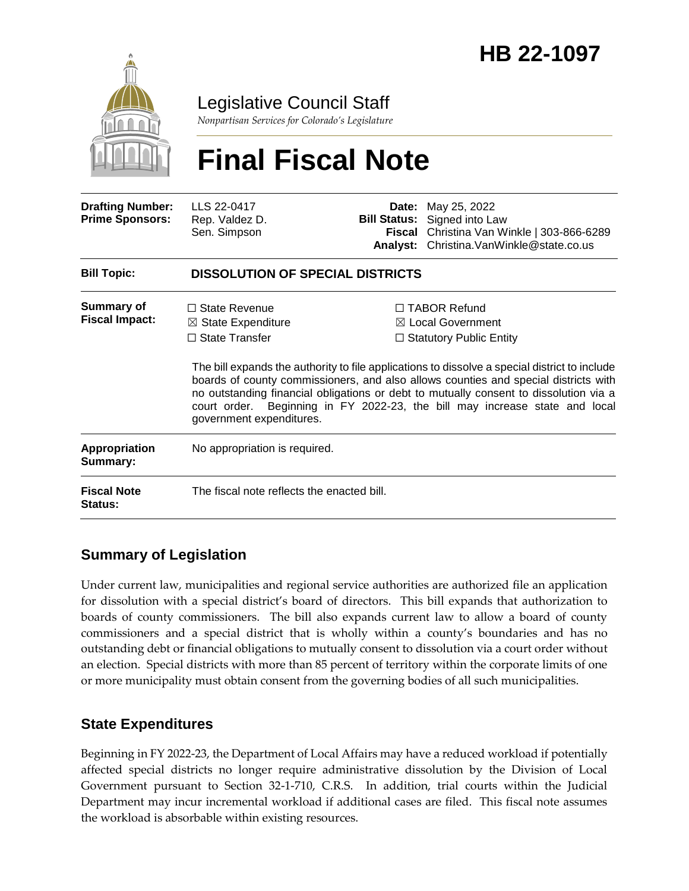

### Legislative Council Staff

*Nonpartisan Services for Colorado's Legislature*

# **Final Fiscal Note**

| <b>Drafting Number:</b><br><b>Prime Sponsors:</b> | LLS 22-0417<br>Rep. Valdez D.<br>Sen. Simpson                                                              |  | <b>Date:</b> May 25, 2022<br><b>Bill Status:</b> Signed into Law<br>Fiscal Christina Van Winkle   303-866-6289<br>Analyst: Christina.VanWinkle@state.co.us                                                                                                                                                                                                                                                                                            |  |
|---------------------------------------------------|------------------------------------------------------------------------------------------------------------|--|-------------------------------------------------------------------------------------------------------------------------------------------------------------------------------------------------------------------------------------------------------------------------------------------------------------------------------------------------------------------------------------------------------------------------------------------------------|--|
| <b>Bill Topic:</b>                                | <b>DISSOLUTION OF SPECIAL DISTRICTS</b>                                                                    |  |                                                                                                                                                                                                                                                                                                                                                                                                                                                       |  |
| <b>Summary of</b><br><b>Fiscal Impact:</b>        | $\Box$ State Revenue<br>$\boxtimes$ State Expenditure<br>$\Box$ State Transfer<br>government expenditures. |  | $\Box$ TABOR Refund<br>$\boxtimes$ Local Government<br>$\Box$ Statutory Public Entity<br>The bill expands the authority to file applications to dissolve a special district to include<br>boards of county commissioners, and also allows counties and special districts with<br>no outstanding financial obligations or debt to mutually consent to dissolution via a<br>court order. Beginning in FY 2022-23, the bill may increase state and local |  |
| <b>Appropriation</b><br>Summary:                  | No appropriation is required.                                                                              |  |                                                                                                                                                                                                                                                                                                                                                                                                                                                       |  |
| <b>Fiscal Note</b><br><b>Status:</b>              | The fiscal note reflects the enacted bill.                                                                 |  |                                                                                                                                                                                                                                                                                                                                                                                                                                                       |  |

### **Summary of Legislation**

Under current law, municipalities and regional service authorities are authorized file an application for dissolution with a special district's board of directors. This bill expands that authorization to boards of county commissioners. The bill also expands current law to allow a board of county commissioners and a special district that is wholly within a county's boundaries and has no outstanding debt or financial obligations to mutually consent to dissolution via a court order without an election. Special districts with more than 85 percent of territory within the corporate limits of one or more municipality must obtain consent from the governing bodies of all such municipalities.

### **State Expenditures**

Beginning in FY 2022-23, the Department of Local Affairs may have a reduced workload if potentially affected special districts no longer require administrative dissolution by the Division of Local Government pursuant to Section 32-1-710, C.R.S. In addition, trial courts within the Judicial Department may incur incremental workload if additional cases are filed. This fiscal note assumes the workload is absorbable within existing resources.